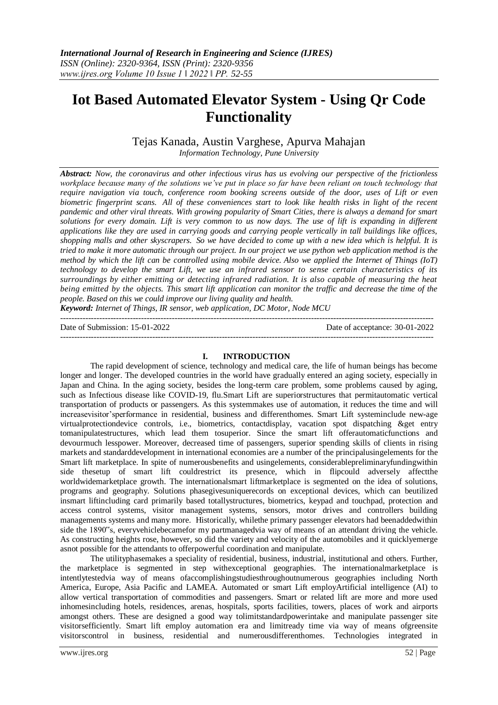# **Iot Based Automated Elevator System - Using Qr Code Functionality**

Tejas Kanada, Austin Varghese, Apurva Mahajan *Information Technology, Pune University*

*Abstract: Now, the coronavirus and other infectious virus has us evolving our perspective of the frictionless workplace because many of the solutions we've put in place so far have been reliant on touch technology that require navigation via touch, conference room booking screens outside of the door, uses of Lift or even biometric fingerprint scans. All of these conveniences start to look like health risks in light of the recent pandemic and other viral threats. With growing popularity of Smart Cities, there is always a demand for smart solutions for every domain. Lift is very common to us now days. The use of lift is expanding in different applications like they are used in carrying goods and carrying people vertically in tall buildings like offices, shopping malls and other skyscrapers. So we have decided to come up with a new idea which is helpful. It is tried to make it more automatic through our project. In our project we use python web application method is the method by which the lift can be controlled using mobile device. Also we applied the Internet of Things (IoT) technology to develop the smart Lift, we use an infrared sensor to sense certain characteristics of its surroundings by either emitting or detecting infrared radiation. It is also capable of measuring the heat being emitted by the objects. This smart lift application can monitor the traffic and decrease the time of the people. Based on this we could improve our living quality and health.*

*Keyword: Internet of Things, IR sensor, web application, DC Motor, Node MCU* --------------------------------------------------------------------------------------------------------------------------------------

Date of Submission: 15-01-2022 Date of acceptance: 30-01-2022

--------------------------------------------------------------------------------------------------------------------------------------

#### **I. INTRODUCTION**

The rapid development of science, technology and medical care, the life of human beings has become longer and longer. The developed countries in the world have gradually entered an aging society, especially in Japan and China. In the aging society, besides the long-term care problem, some problems caused by aging, such as Infectious disease like COVID-19, flu.Smart Lift are superiorstructures that permitautomatic vertical transportation of products or passengers. As this systemmakes use of automation, it reduces the time and will increasevisitor'sperformance in residential, business and differenthomes. Smart Lift systeminclude new-age virtualprotectiondevice controls, i.e., biometrics, contactdisplay, vacation spot dispatching &get entry tomanipulatestructures, which lead them tosuperior. Since the smart lift offerautomaticfunctions and devourmuch lesspower. Moreover, decreased time of passengers, superior spending skills of clients in rising markets and standarddevelopment in international economies are a number of the principalusingelements for the Smart lift marketplace. In spite of numerousbenefits and usingelements, considerablepreliminaryfundingwithin side thesetup of smart lift couldrestrict its presence, which in flipcould adversely affectthe worldwidemarketplace growth. The internationalsmart liftmarketplace is segmented on the idea of solutions, programs and geography. Solutions phasegivesuniquerecords on exceptional devices, which can beutilized insmart liftincluding card primarily based totallystructures, biometrics, keypad and touchpad, protection and access control systems, visitor management systems, sensors, motor drives and controllers building managements systems and many more. Historically, whilethe primary passenger elevators had beenaddedwithin side the 1890"s, everyvehiclebecamefor my partmanagedvia way of means of an attendant driving the vehicle. As constructing heights rose, however, so did the variety and velocity of the automobiles and it quicklyemerge asnot possible for the attendants to offerpowerful coordination and manipulate.

The utilityphasemakes a speciality of residential, business, industrial, institutional and others. Further, the marketplace is segmented in step withexceptional geographies. The internationalmarketplace is intentlytestedvia way of means ofaccomplishingstudiesthroughoutnumerous geographies including North America, Europe, Asia Pacific and LAMEA. Automated or smart Lift employArtificial intelligence (AI) to allow vertical transportation of commodities and passengers. Smart or related lift are more and more used inhomesincluding hotels, residences, arenas, hospitals, sports facilities, towers, places of work and airports amongst others. These are designed a good way tolimitstandardpowerintake and manipulate passenger site visitorsefficiently. Smart lift employ automation era and limitready time via way of means ofgreensite visitorscontrol in business, residential and numerousdifferenthomes. Technologies integrated in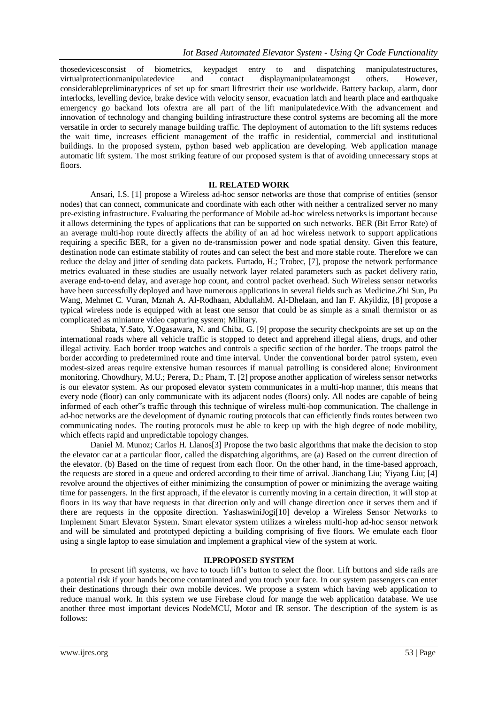thosedevicesconsist of biometrics, keypadget entry to and dispatching manipulatestructures, virtualprotectionmanipulatedevice and contact displaymanipulateamongst others. However, considerablepreliminaryprices of set up for smart liftrestrict their use worldwide. Battery backup, alarm, door interlocks, levelling device, brake device with velocity sensor, evacuation latch and hearth place and earthquake emergency go backand lots ofextra are all part of the lift manipulatedevice.With the advancement and innovation of technology and changing building infrastructure these control systems are becoming all the more versatile in order to securely manage building traffic. The deployment of automation to the lift systems reduces the wait time, increases efficient management of the traffic in residential, commercial and institutional buildings. In the proposed system, python based web application are developing. Web application manage automatic lift system. The most striking feature of our proposed system is that of avoiding unnecessary stops at floors.

#### **II. RELATED WORK**

Ansari, I.S. [1] propose a Wireless ad-hoc sensor networks are those that comprise of entities (sensor nodes) that can connect, communicate and coordinate with each other with neither a centralized server no many pre-existing infrastructure. Evaluating the performance of Mobile ad-hoc wireless networks is important because it allows determining the types of applications that can be supported on such networks. BER (Bit Error Rate) of an average multi-hop route directly affects the ability of an ad hoc wireless network to support applications requiring a specific BER, for a given no de-transmission power and node spatial density. Given this feature, destination node can estimate stability of routes and can select the best and more stable route. Therefore we can reduce the delay and jitter of sending data packets. Furtado, H.; Trobec, [7], propose the network performance metrics evaluated in these studies are usually network layer related parameters such as packet delivery ratio, average end-to-end delay, and average hop count, and control packet overhead. Such Wireless sensor networks have been successfully deployed and have numerous applications in several fields such as Medicine.Zhi Sun, Pu Wang, Mehmet C. Vuran, Mznah A. Al-Rodhaan, AbdullahM. Al-Dhelaan, and Ian F. Akyildiz, [8] propose a typical wireless node is equipped with at least one sensor that could be as simple as a small thermistor or as complicated as miniature video capturing system; Military.

Shibata, Y.Sato, Y.Ogasawara, N. and Chiba, G. [9] propose the security checkpoints are set up on the international roads where all vehicle traffic is stopped to detect and apprehend illegal aliens, drugs, and other illegal activity. Each border troop watches and controls a specific section of the border. The troops patrol the border according to predetermined route and time interval. Under the conventional border patrol system, even modest-sized areas require extensive human resources if manual patrolling is considered alone; Environment monitoring. Chowdhury, M.U.; Perera, D.; Pham, T. [2] propose another application of wireless sensor networks is our elevator system. As our proposed elevator system communicates in a multi-hop manner, this means that every node (floor) can only communicate with its adjacent nodes (floors) only. All nodes are capable of being informed of each other"s traffic through this technique of wireless multi-hop communication. The challenge in ad-hoc networks are the development of dynamic routing protocols that can efficiently finds routes between two communicating nodes. The routing protocols must be able to keep up with the high degree of node mobility, which effects rapid and unpredictable topology changes.

Daniel M. Munoz; Carlos H. Llanos[3] Propose the two basic algorithms that make the decision to stop the elevator car at a particular floor, called the dispatching algorithms, are (a) Based on the current direction of the elevator. (b) Based on the time of request from each floor. On the other hand, in the time-based approach, the requests are stored in a queue and ordered according to their time of arrival. Jianchang Liu; Yiyang Liu; [4] revolve around the objectives of either minimizing the consumption of power or minimizing the average waiting time for passengers. In the first approach, if the elevator is currently moving in a certain direction, it will stop at floors in its way that have requests in that direction only and will change direction once it serves them and if there are requests in the opposite direction. YashaswiniJogi[10] develop a Wireless Sensor Networks to Implement Smart Elevator System. Smart elevator system utilizes a wireless multi-hop ad-hoc sensor network and will be simulated and prototyped depicting a building comprising of five floors. We emulate each floor using a single laptop to ease simulation and implement a graphical view of the system at work.

## **II.PROPOSED SYSTEM**

In present lift systems, we have to touch lift's button to select the floor. Lift buttons and side rails are a potential risk if your hands become contaminated and you touch your face. In our system passengers can enter their destinations through their own mobile devices. We propose a system which having web application to reduce manual work. In this system we use Firebase cloud for mange the web application database. We use another three most important devices NodeMCU, Motor and IR sensor. The description of the system is as follows: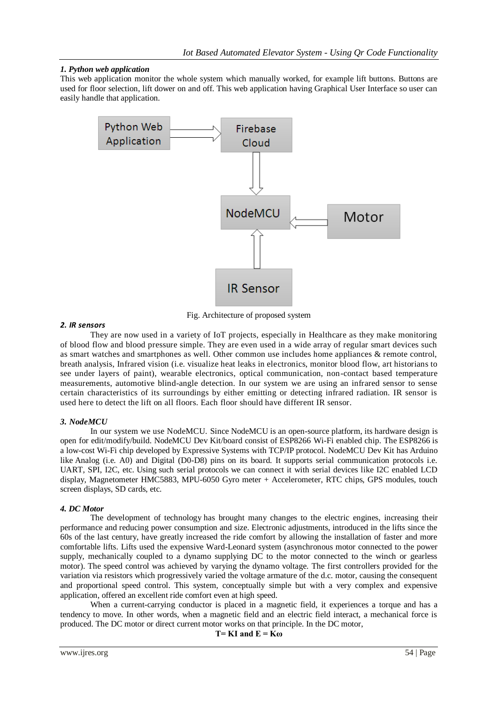# *1. Python web application*

This web application monitor the whole system which manually worked, for example lift buttons. Buttons are used for floor selection, lift dower on and off. This web application having Graphical User Interface so user can easily handle that application.



Fig. Architecture of proposed system

## *2. IR sensors*

They are now used in a variety of IoT projects, especially in Healthcare as they make monitoring of blood flow and blood pressure simple. They are even used in a wide array of regular smart devices such as smart watches and smartphones as well. Other common use includes home appliances & remote control, breath analysis, Infrared vision (i.e. visualize heat leaks in electronics, monitor blood flow, art historians to see under layers of paint), wearable electronics, optical communication, non-contact based temperature measurements, automotive blind-angle detection. In our system we are using an infrared sensor to sense certain characteristics of its surroundings by either emitting or detecting infrared radiation. IR sensor is used here to detect the lift on all floors. Each floor should have different IR sensor.

## *3. NodeMCU*

In our system we use NodeMCU. Since NodeMCU is an open-source platform, its hardware design is open for edit/modify/build. NodeMCU Dev Kit/board consist of ESP8266 Wi-Fi enabled chip. The ESP8266 is a low-cost [Wi-Fi](https://en.wikipedia.org/wiki/Wi-Fi) chip developed by Expressive Systems with TCP/IP protocol. NodeMCU Dev Kit has Arduino like Analog (i.e. A0) and Digital (D0-D8) pins on its board. It supports serial communication protocols i.e. UART, SPI, I2C, etc. Using such serial protocols we can connect it with serial devices like I2C enabled LCD display, Magnetometer HMC5883, MPU-6050 Gyro meter + Accelerometer, RTC chips, GPS modules, touch screen displays, SD cards, etc.

## *4. DC Motor*

The development of technology has brought many changes to the electric engines, increasing their performance and reducing power consumption and size. Electronic adjustments, introduced in the lifts since the 60s of the last century, have greatly increased the ride comfort by allowing the installation of faster and more comfortable lifts. Lifts used the expensive Ward-Leonard system (asynchronous motor connected to the power supply, mechanically coupled to a dynamo supplying DC to the motor connected to the winch or gearless motor). The speed control was achieved by varying the dynamo voltage. The first controllers provided for the variation via resistors which progressively varied the voltage armature of the d.c. motor, causing the consequent and proportional speed control. This system, conceptually simple but with a very complex and expensive application, offered an excellent ride comfort even at high speed.

When a current-carrying conductor is placed in a [magnetic](https://www.electrical4u.com/magnetic-field/) field, it experiences a torque and has a tendency to move. In other words, when a magnetic field and an electric field interact, a mechanical force is produced. The DC motor or direct current motor works on that principle. In the DC motor,

$$
T = K I
$$
 and  $E = K\omega$